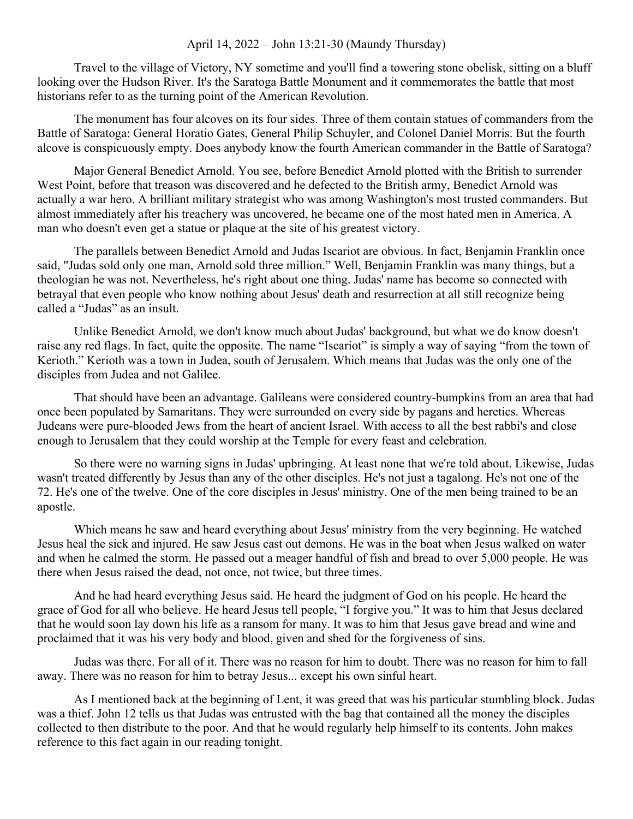## April 14, 2022 – John 13:21-30 (Maundy Thursday)

Travel to the village of Victory, NY sometime and you'll find a towering stone obelisk, sitting on a bluff looking over the Hudson River. It's the Saratoga Battle Monument and it commemorates the battle that most historians refer to as the turning point of the American Revolution.

The monument has four alcoves on its four sides. Three of them contain statues of commanders from the Battle of Saratoga: General Horatio Gates, General Philip Schuyler, and Colonel Daniel Morris. But the fourth alcove is conspicuously empty. Does anybody know the fourth American commander in the Battle of Saratoga?

Major General Benedict Arnold. You see, before Benedict Arnold plotted with the British to surrender West Point, before that treason was discovered and he defected to the British army, Benedict Arnold was actually a war hero. A brilliant military strategist who was among Washington's most trusted commanders. But almost immediately after his treachery was uncovered, he became one of the most hated men in America. A man who doesn't even get a statue or plaque at the site of his greatest victory.

The parallels between Benedict Arnold and Judas Iscariot are obvious. In fact, Benjamin Franklin once said, "Judas sold only one man, Arnold sold three million." Well, Benjamin Franklin was many things, but a theologian he was not. Nevertheless, he's right about one thing. Judas' name has become so connected with betrayal that even people who know nothing about Jesus' death and resurrection at all still recognize being called a "Judas" as an insult.

Unlike Benedict Arnold, we don't know much about Judas' background, but what we do know doesn't raise any red flags. In fact, quite the opposite. The name "Iscariot" is simply a way of saying "from the town of Kerioth." Kerioth was a town in Judea, south of Jerusalem. Which means that Judas was the only one of the disciples from Judea and not Galilee.

That should have been an advantage. Galileans were considered country-bumpkins from an area that had once been populated by Samaritans. They were surrounded on every side by pagans and heretics. Whereas Judeans were pure-blooded Jews from the heart of ancient Israel. With access to all the best rabbi's and close enough to Jerusalem that they could worship at the Temple for every feast and celebration.

So there were no warning signs in Judas' upbringing. At least none that we're told about. Likewise, Judas wasn't treated differently by Jesus than any of the other disciples. He's not just a tagalong. He's not one of the 72. He's one of the twelve. One of the core disciples in Jesus' ministry. One of the men being trained to be an apostle.

Which means he saw and heard everything about Jesus' ministry from the very beginning. He watched Jesus heal the sick and injured. He saw Jesus cast out demons. He was in the boat when Jesus walked on water and when he calmed the storm. He passed out a meager handful of fish and bread to over 5,000 people. He was there when Jesus raised the dead, not once, not twice, but three times.

And he had heard everything Jesus said. He heard the judgment of God on his people. He heard the grace of God for all who believe. He heard Jesus tell people, "I forgive you." It was to him that Jesus declared that he would soon lay down his life as a ransom for many. It was to him that Jesus gave bread and wine and proclaimed that it was his very body and blood, given and shed for the forgiveness of sins.

Judas was there. For all of it. There was no reason for him to doubt. There was no reason for him to fall away. There was no reason for him to betray Jesus... except his own sinful heart.

As I mentioned back at the beginning of Lent, it was greed that was his particular stumbling block. Judas was a thief. John 12 tells us that Judas was entrusted with the bag that contained all the money the disciples collected to then distribute to the poor. And that he would regularly help himself to its contents. John makes reference to this fact again in our reading tonight.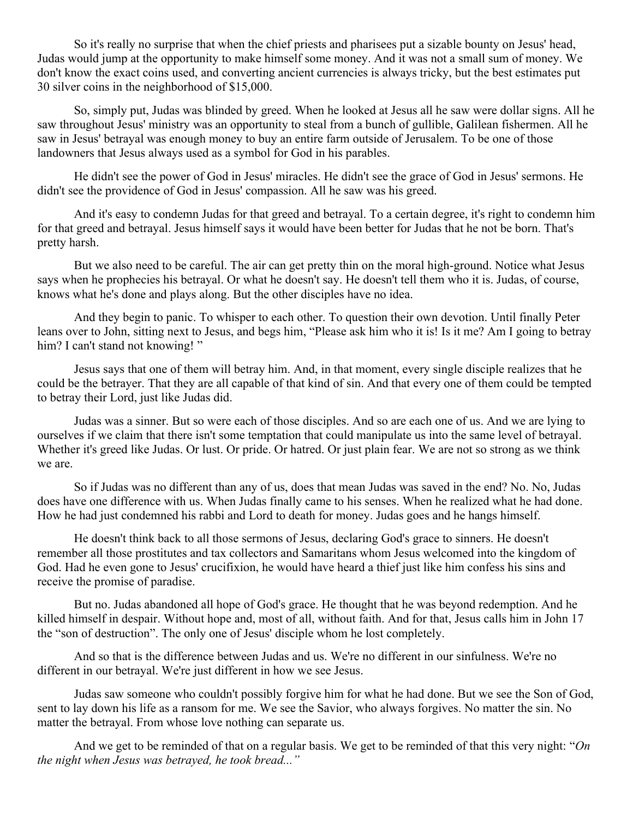So it's really no surprise that when the chief priests and pharisees put a sizable bounty on Jesus' head, Judas would jump at the opportunity to make himself some money. And it was not a small sum of money. We don't know the exact coins used, and converting ancient currencies is always tricky, but the best estimates put 30 silver coins in the neighborhood of \$15,000.

So, simply put, Judas was blinded by greed. When he looked at Jesus all he saw were dollar signs. All he saw throughout Jesus' ministry was an opportunity to steal from a bunch of gullible, Galilean fishermen. All he saw in Jesus' betrayal was enough money to buy an entire farm outside of Jerusalem. To be one of those landowners that Jesus always used as a symbol for God in his parables.

He didn't see the power of God in Jesus' miracles. He didn't see the grace of God in Jesus' sermons. He didn't see the providence of God in Jesus' compassion. All he saw was his greed.

And it's easy to condemn Judas for that greed and betrayal. To a certain degree, it's right to condemn him for that greed and betrayal. Jesus himself says it would have been better for Judas that he not be born. That's pretty harsh.

But we also need to be careful. The air can get pretty thin on the moral high-ground. Notice what Jesus says when he prophecies his betrayal. Or what he doesn't say. He doesn't tell them who it is. Judas, of course, knows what he's done and plays along. But the other disciples have no idea.

And they begin to panic. To whisper to each other. To question their own devotion. Until finally Peter leans over to John, sitting next to Jesus, and begs him, "Please ask him who it is! Is it me? Am I going to betray him? I can't stand not knowing!"

Jesus says that one of them will betray him. And, in that moment, every single disciple realizes that he could be the betrayer. That they are all capable of that kind of sin. And that every one of them could be tempted to betray their Lord, just like Judas did.

Judas was a sinner. But so were each of those disciples. And so are each one of us. And we are lying to ourselves if we claim that there isn't some temptation that could manipulate us into the same level of betrayal. Whether it's greed like Judas. Or lust. Or pride. Or hatred. Or just plain fear. We are not so strong as we think we are.

So if Judas was no different than any of us, does that mean Judas was saved in the end? No. No, Judas does have one difference with us. When Judas finally came to his senses. When he realized what he had done. How he had just condemned his rabbi and Lord to death for money. Judas goes and he hangs himself.

He doesn't think back to all those sermons of Jesus, declaring God's grace to sinners. He doesn't remember all those prostitutes and tax collectors and Samaritans whom Jesus welcomed into the kingdom of God. Had he even gone to Jesus' crucifixion, he would have heard a thief just like him confess his sins and receive the promise of paradise.

But no. Judas abandoned all hope of God's grace. He thought that he was beyond redemption. And he killed himself in despair. Without hope and, most of all, without faith. And for that, Jesus calls him in John 17 the "son of destruction". The only one of Jesus' disciple whom he lost completely.

And so that is the difference between Judas and us. We're no different in our sinfulness. We're no different in our betrayal. We're just different in how we see Jesus.

Judas saw someone who couldn't possibly forgive him for what he had done. But we see the Son of God, sent to lay down his life as a ransom for me. We see the Savior, who always forgives. No matter the sin. No matter the betrayal. From whose love nothing can separate us.

And we get to be reminded of that on a regular basis. We get to be reminded of that this very night: "*On the night when Jesus was betrayed, he took bread..."*